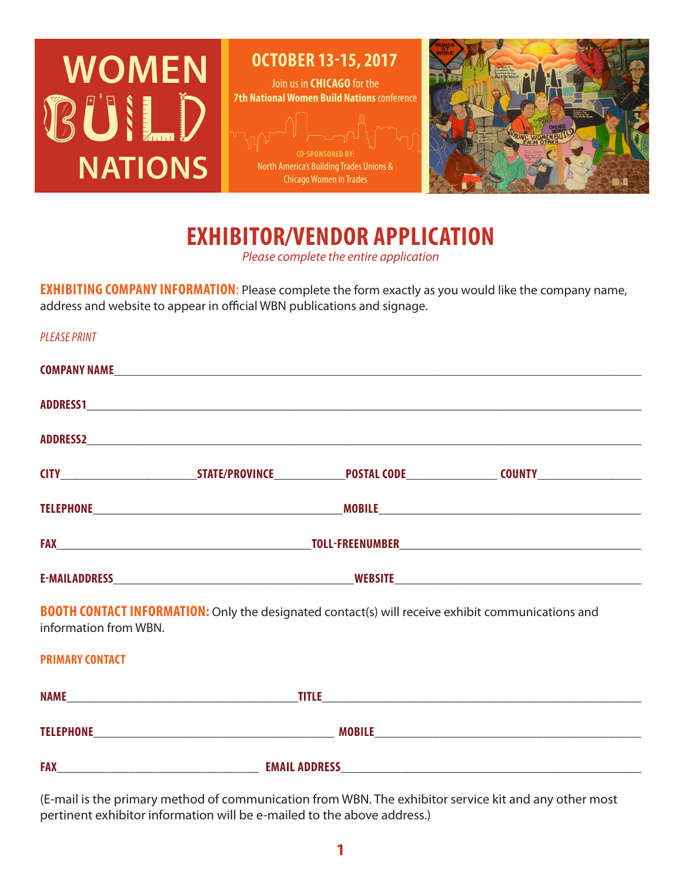

Join us in **CHICAGO** for the **OCTOBER 13-15, 2017**

**7th National Women Build Nations** conference North America's Building Trades Unions &

Chicago Women in Trades



**EXHIBITOR/VENDOR APPLICATION** *Please complete the entire application*

**EXHIBITING COMPANY INFORMATION**: Please complete the form exactly as you would like the company name, address and website to appear in official WBN publications and signage.

| <b>PLEASE PRINT</b>    |                                                                                                          |                                                                                                                                        |
|------------------------|----------------------------------------------------------------------------------------------------------|----------------------------------------------------------------------------------------------------------------------------------------|
|                        |                                                                                                          |                                                                                                                                        |
|                        |                                                                                                          |                                                                                                                                        |
|                        |                                                                                                          |                                                                                                                                        |
|                        |                                                                                                          | CITY_______________________________STATE/PROVINCE________________POSTAL CODE________________________COUNTY____________________________ |
|                        |                                                                                                          |                                                                                                                                        |
|                        |                                                                                                          |                                                                                                                                        |
|                        |                                                                                                          |                                                                                                                                        |
| information from WBN.  | <b>BOOTH CONTACT INFORMATION:</b> Only the designated contact(s) will receive exhibit communications and |                                                                                                                                        |
| <b>PRIMARY CONTACT</b> |                                                                                                          |                                                                                                                                        |
|                        |                                                                                                          |                                                                                                                                        |
|                        |                                                                                                          |                                                                                                                                        |
|                        |                                                                                                          |                                                                                                                                        |

(E-mail is the primary method of communication from WBN. The exhibitor service kit and any other most pertinent exhibitor information will be e-mailed to the above address.)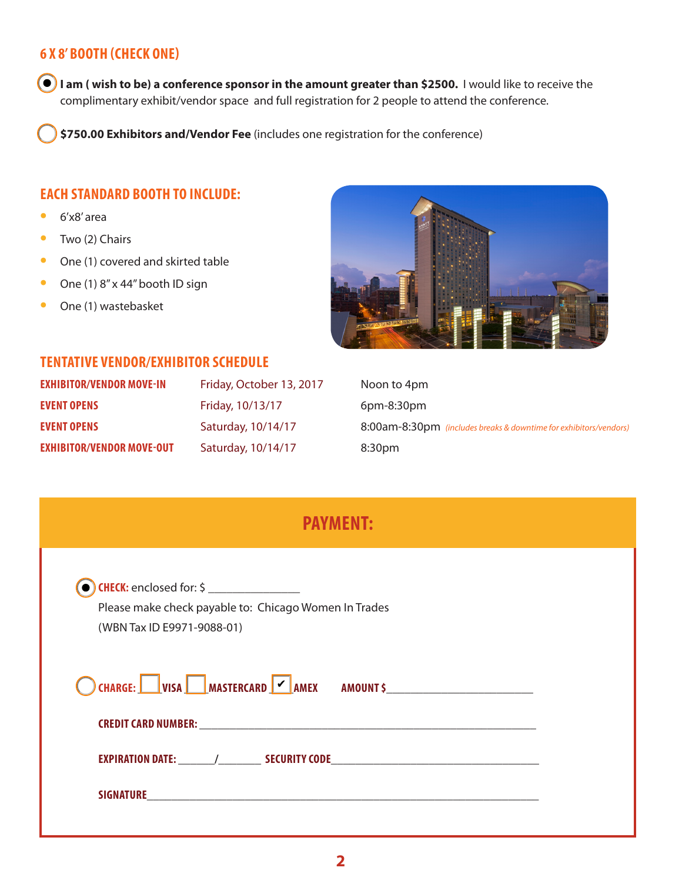## **6 X 8' BOOTH (CHECK ONE)**

 **I am ( wish to be) a conference sponsor in the amount greater than \$2500.** I would like to receive the complimentary exhibit/vendor space and full registration for 2 people to attend the conference.

**\$750.00 Exhibitors and/Vendor Fee** (includes one registration for the conference)

### **EACH STANDARD BOOTH TO INCLUDE:**

- **•**  6'x8' area
- **•**  Two (2) Chairs
- **•** One (1) covered and skirted table
- **•** One (1) 8" x 44" booth ID sign
- **•**  One (1) wastebasket



#### **TENTATIVE VENDOR/EXHIBITOR SCHEDULE**

| <b>EXHIBITOR/VENDOR MOVE-IN</b>  | Friday, October 13, 2017 | Noon to 4pm                                                       |
|----------------------------------|--------------------------|-------------------------------------------------------------------|
| <b>EVENT OPENS</b>               | Friday, 10/13/17         | $6$ pm-8:30 $pm$                                                  |
| <b>EVENT OPENS</b>               | Saturday, 10/14/17       | 8:00am-8:30pm (includes breaks & downtime for exhibitors/vendors) |
| <b>EXHIBITOR/VENDOR MOVE-OUT</b> | Saturday, 10/14/17       | 8:30pm                                                            |

## **PAYMENT:**

| Please make check payable to: Chicago Women In Trades<br>(WBN Tax ID E9971-9088-01) |  |
|-------------------------------------------------------------------------------------|--|
| <b>OCHARGE:</b> VISA MASTERCARD V AMEX AMOUNT \$                                    |  |
|                                                                                     |  |
|                                                                                     |  |
|                                                                                     |  |